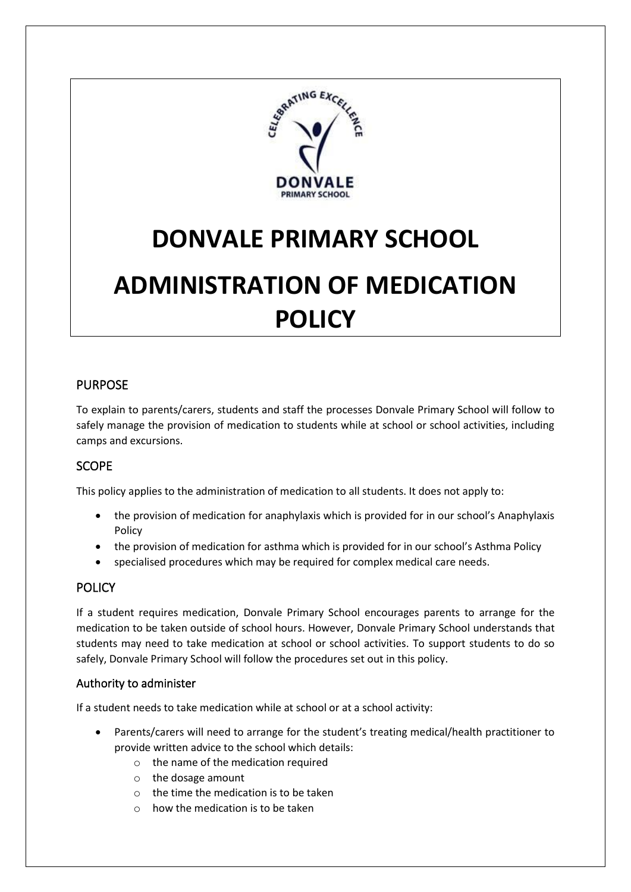

# **DONVALE PRIMARY SCHOOL**

# **ADMINISTRATION OF MEDICATION POLICY**

# PURPOSE

To explain to parents/carers, students and staff the processes Donvale Primary School will follow to safely manage the provision of medication to students while at school or school activities, including camps and excursions.

# **SCOPE**

This policy applies to the administration of medication to all students. It does not apply to:

- the provision of medication for anaphylaxis which is provided for in our school's Anaphylaxis Policy
- the provision of medication for asthma which is provided for in our school's Asthma Policy
- specialised procedures which may be required for complex medical care needs.

#### **POLICY**

If a student requires medication, Donvale Primary School encourages parents to arrange for the medication to be taken outside of school hours. However, Donvale Primary School understands that students may need to take medication at school or school activities. To support students to do so safely, Donvale Primary School will follow the procedures set out in this policy.

#### Authority to administer

If a student needs to take medication while at school or at a school activity:

- Parents/carers will need to arrange for the student's treating medical/health practitioner to provide written advice to the school which details:
	- o the name of the medication required
	- o the dosage amount
	- o the time the medication is to be taken
	- $\circ$  how the medication is to be taken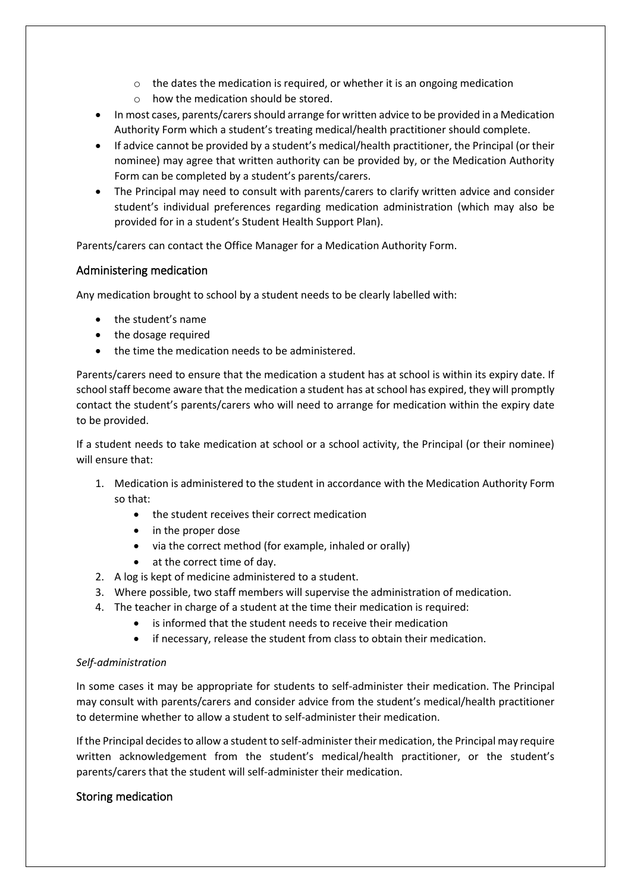- o the dates the medication is required, or whether it is an ongoing medication
- $\circ$  how the medication should be stored.
- In most cases, parents/carers should arrange for written advice to be provided in a Medication Authority Form which a student's treating medical/health practitioner should complete.
- If advice cannot be provided by a student's medical/health practitioner, the Principal (or their nominee) may agree that written authority can be provided by, or the Medication Authority Form can be completed by a student's parents/carers.
- The Principal may need to consult with parents/carers to clarify written advice and consider student's individual preferences regarding medication administration (which may also be provided for in a student's Student Health Support Plan).

Parents/carers can contact the Office Manager for a Medication Authority Form.

#### Administering medication

Any medication brought to school by a student needs to be clearly labelled with:

- the student's name
- the dosage required
- the time the medication needs to be administered.

Parents/carers need to ensure that the medication a student has at school is within its expiry date. If school staff become aware that the medication a student has at school has expired, they will promptly contact the student's parents/carers who will need to arrange for medication within the expiry date to be provided.

If a student needs to take medication at school or a school activity, the Principal (or their nominee) will ensure that:

- 1. Medication is administered to the student in accordance with the Medication Authority Form so that:
	- the student receives their correct medication
	- in the proper dose
	- via the correct method (for example, inhaled or orally)
	- at the correct time of day.
- 2. A log is kept of medicine administered to a student.
- 3. Where possible, two staff members will supervise the administration of medication.
- 4. The teacher in charge of a student at the time their medication is required:
	- is informed that the student needs to receive their medication
	- if necessary, release the student from class to obtain their medication.

#### *Self-administration*

In some cases it may be appropriate for students to self-administer their medication. The Principal may consult with parents/carers and consider advice from the student's medical/health practitioner to determine whether to allow a student to self-administer their medication.

If the Principal decides to allow a student to self-administer their medication, the Principal may require written acknowledgement from the student's medical/health practitioner, or the student's parents/carers that the student will self-administer their medication.

#### Storing medication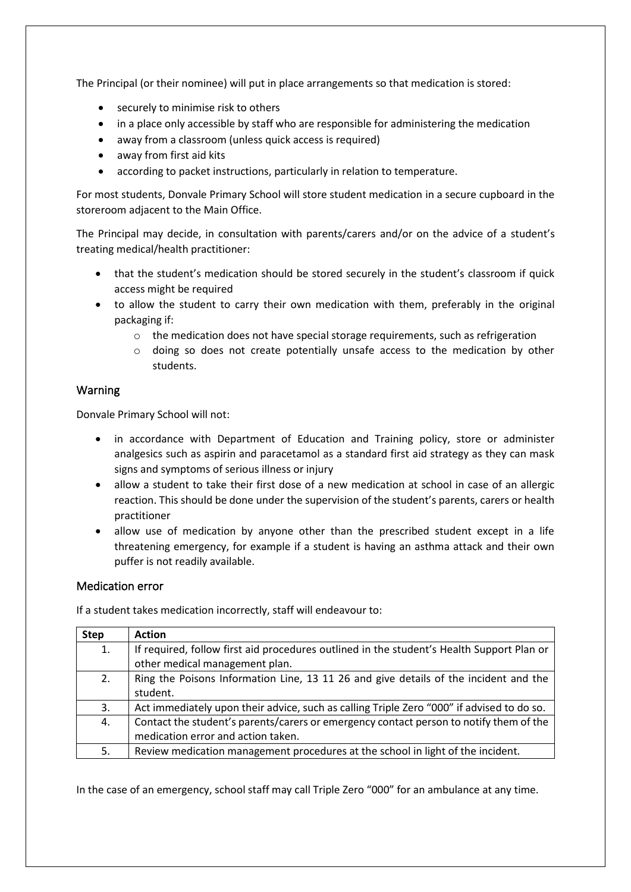The Principal (or their nominee) will put in place arrangements so that medication is stored:

- securely to minimise risk to others
- in a place only accessible by staff who are responsible for administering the medication
- away from a classroom (unless quick access is required)
- away from first aid kits
- according to packet instructions, particularly in relation to temperature.

For most students, Donvale Primary School will store student medication in a secure cupboard in the storeroom adjacent to the Main Office.

The Principal may decide, in consultation with parents/carers and/or on the advice of a student's treating medical/health practitioner:

- that the student's medication should be stored securely in the student's classroom if quick access might be required
- to allow the student to carry their own medication with them, preferably in the original packaging if:
	- $\circ$  the medication does not have special storage requirements, such as refrigeration
	- o doing so does not create potentially unsafe access to the medication by other students.

#### Warning

Donvale Primary School will not:

- in accordance with Department of Education and Training policy, store or administer analgesics such as aspirin and paracetamol as a standard first aid strategy as they can mask signs and symptoms of serious illness or injury
- allow a student to take their first dose of a new medication at school in case of an allergic reaction. This should be done under the supervision of the student's parents, carers or health practitioner
- allow use of medication by anyone other than the prescribed student except in a life threatening emergency, for example if a student is having an asthma attack and their own puffer is not readily available.

#### Medication error

If a student takes medication incorrectly, staff will endeavour to:

| <b>Step</b> | <b>Action</b>                                                                             |
|-------------|-------------------------------------------------------------------------------------------|
| 1.          | If required, follow first aid procedures outlined in the student's Health Support Plan or |
|             | other medical management plan.                                                            |
| 2.          | Ring the Poisons Information Line, 13 11 26 and give details of the incident and the      |
|             | student.                                                                                  |
| 3.          | Act immediately upon their advice, such as calling Triple Zero "000" if advised to do so. |
| 4.          | Contact the student's parents/carers or emergency contact person to notify them of the    |
|             | medication error and action taken.                                                        |
| 5.          | Review medication management procedures at the school in light of the incident.           |

In the case of an emergency, school staff may call Triple Zero "000" for an ambulance at any time.